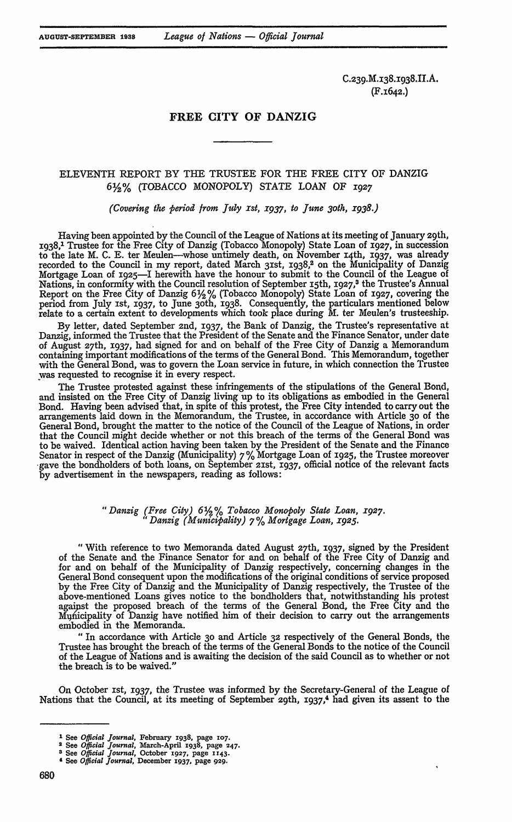C.239.M.138.1938.II.A. (F.I642.)

# FREE CITY OF **DANZIG**

## ELEVENTH REPORT BY THE TRUSTEE FOR THE FREE CITY OF DANZIG **6%%** (TOBACCO MONOPOLY) STATE LOAN OF **1927**

*(Covering the period from July ist, x937, to June 3oth, x938.)*

Having been appointed by the Council of the League of Nations at its meeting of January 29th, 1938,1 Trustee for the Free City of Danzig (Tobacco Monopoly) State Loan of **X927,** in succession to the late M. C. E. ter Meulen-whose untimely death, on November **14th, 1937,** was already recorded to the Council in my report, dated March 31st, 1938,<sup>2</sup> on the Municipality of Danzig Mortgage Loan of 1925-I herewith have the honour to submit to the Council of the League of Nations, in conformity with the Council resolution of September 15th, **1927,3** the Trustee's Annual Report on the Free City of Danzig 6 2 **%** (Tobacco Monopoly) State Loan of **1927,** covering the period from July 1st, 1937, to June 3oth, 1938. Consequently, the particulars mentioned below relate to a certain extent to developments which took place during M. ter Meulen's trusteeship.

By letter, dated September 2nd, **1937,** the Bank of Danzig, the Trustee's representative at Danzig, informed the Trustee that the President of the Senate and the Finance Senator, under date of August 27th, **1937,** had signed for and on behalf of the Free City of Danzig a Memorandum containing important modifications of the terms of the General Bond. This Memorandum, together with the General Bond, was to govern the Loan service in future, in which connection the Trustee was requested to recognise it in every respect.

The Trustee protested against these infringements of the stipulations of the General Bond, and insisted on the Free City of Danzig living up to its obligations as embodied in the General Bond. Having been advised that, in spite of this protest, the Free City intended to carry out the arrangements laid down in the Memorandum, the Trustee, in accordance with Article **30** of the General Bond, brought the matter to the notice of the Council of the League of Nations, in order that the Council might decide whether or not this breach of the terms of the General Bond was to be waived. Identical action having been taken by the President of the Senate and the Finance Senator in respect of the Danzig (Municipality)  $7\%$  Mortgage Loan of 1925, the Trustee moreover -gave the bondholders of both loans, on September 21st, **1937,** official notice of the relevant facts by advertisement in the newspapers, reading as follows:

## *"Danzig (Free City) 6%% Tobacco Monopoly State Loan, X927. "Danzig (Municipality) 7 % Mortgage Loan, x925.*

"With reference to two Memoranda dated August 27th, **1937,** signed by the President of the Senate and the Finance Senator for and on behalf of the Free City of Danzig and for and on behalf of the Municipality of Danzig respectively, concerning changes in the General Bond consequent upon the modifications of the original conditions of service proposed by the Free City of Danzig and the Municipality of Danzig respectively, the Trustee of the above-mentioned Loans gives notice to the bondholders that, notwithstanding his protest agaist the proposed breach of the terms of the General Bond, the Free City and the Municipality of Danzig have notified him of their decision to carry out the arrangements embodied in the Memoranda.

" In accordance with Article **3o** and Article **32** respectively of the General Bonds, the Trustee has brought the breach of the terms of the General Bonds to the notice of the Council of the League of Nations and is awaiting the decision of the said Council as to whether or not the breach is to be waived."

On October ist, **1937,** the Trustee was informed by the Secretary-General of the League of Nations that the Council, at its meeting of September 29th, **1937,<sup>4</sup>**had given its assent to the

**I** See *Official Journal,* February **1938,** page **107. <sup>2</sup>**See *Official Journal,* March-April **1938,** page **247.**

*<sup>3</sup>* See *Official Journal,* October **1927,** page **1143.**

**<sup>&#</sup>x27; See** *Official Journal,* December **1937,** page **929.**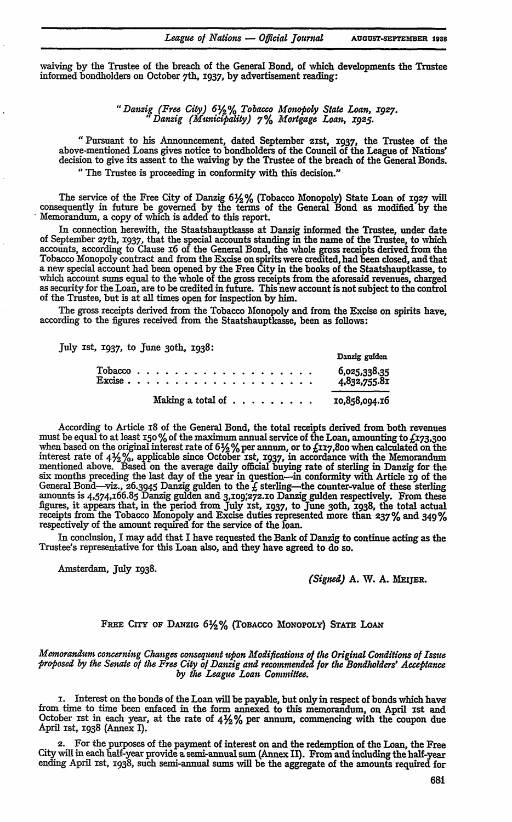waiving **by** the Trustee of the breach of the General Bond, of which developments the Trustee informed bondholders on October 7th, 1937, **by** advertisement reading:

> *"Danzig (Free City) 6%% Tobacco Monopoly State Loan, x927. " Danzig (Municipality) 7% Mortgage Loan, x925.*

"Pursuant to his Announcement, dated September 2ist, 1937, the Trustee of the above-mentioned Loans gives notice to bondholders of the Council of the League of Nations' decision to give its assent to the waiving by the Trustee of the breach of the General Bonds. "The Trustee is proceeding in conformity with this decision."

The service of the Free City of Danzig **6%%** (Tobacco Monopoly) State Loan **of** 1927 will consequently in future be governed by the terms of the General Bond as modified by the Memorandum, a copy of which is added to this report.

In connection herewith, the Staatshauptkasse at Danzig informed the Trustee, under date **of** September 27th, **1937,** that the special accounts standing in the name of the Trustee, to which accounts, according to Clause 16 of the General Bond, the whole gross receipts derived from the Tobacco Monopoly contract and from the Excise on spirits were credited, had been closed, and that a new special account had been opened by the Free City in the books of the Staatshauptkasse, to which account sums equal to the whole of the gross receipts from the aforesaid revenues, charged as security for the Loan, are to be credited in future. This new account is not subject to the control of the Trustee, but is at all times open for inspection **by** him.

The gross receipts derived from the Tobacco Monopoly and from the Excise on spirits have, according to the figures received from the Staatshauptkasse, been as follows:

July st, 1937, to June 30th, 1938: **Danzig gulo**

| $\textit{Tobacco} \text{ }$ |  |                                                   |  |  |  |  |  |  |  |  |  |  |               | and excessively. The second com-<br>6,025,338.35<br>4,832,755.81 |
|-----------------------------|--|---------------------------------------------------|--|--|--|--|--|--|--|--|--|--|---------------|------------------------------------------------------------------|
|                             |  | Making a total of $\dots$ $\dots$ $\dots$ $\dots$ |  |  |  |  |  |  |  |  |  |  | 10,858,094.16 |                                                                  |

According to Article 18 of the General Bond, the total receipts derived from both revenues must be equal to at least *I5O* % of the maximum annual service of the Loan, amounting to **£173,300** when based on the original interest rate of  $6\frac{1}{2}\%$  per annum, or to £xx7,800 when calculated on the interest rate of  $4\frac{1}{2}\%$ , applicable since October 1st, 1937, in accordance with the Memorandum mentioned above. Based on the average daily official buying rate of sterling in Danzig for the six months preceding the last day of the year in question-in conformity with Article **xg** of the General Bond—viz., 26.3945 Danzig gulden to the  $f$  sterling—the counter-value of these sterling amounts is 4,574,166.85 Danzig gulden and 3,109;272.xo Danzig gulden respectively. From these figures, **it** appears **that,** in the period from **July** 1st, 1937, to **June** 30th, **1938, the total** actual receipts from the Tobacco Monopoly and Excise duties represented **more than** 237% **and** 349% respectively of the amount requred **for** the servce of the loan.

In conclusion, I may add that I have requested the Bank of Danzig to continue acting as the Trustee's representative for this Loan also, and they have agreed to do so.

Amsterdam, July 1938.<br> **(Signed) A. W. A. MEIJER.** 

#### FREE CITY OF DANZIG  $6\frac{1}{2}\%$  (TOBACCO MONOPOLY) STATE LOAN

*Memorandum concerning Changes consequent upon Modifications of the Original Conditions of Issue proposed by the Senate of the Free City of Danzig and recommended for the Bondholders' Acceptance by the League Loan Commitee.*

i. Interest on the bonds of the Loan will be payable, but only in respect of bonds which have from time to time been enfaced in the form annexed to this memorandum, on April ist and October ist in each year, at the rate **of** 4Y% per annum, commencing with the coupon due April ist, 1938 (Annex I).

2. For the purposes of the payment of interest on and the redemption of the Loan, the Free City will in each half-year provide a semi-annual sum (Annex II). From and including the half-year ending April ist, 1938, such semi-annual sums will be the aggregate of the amounts required for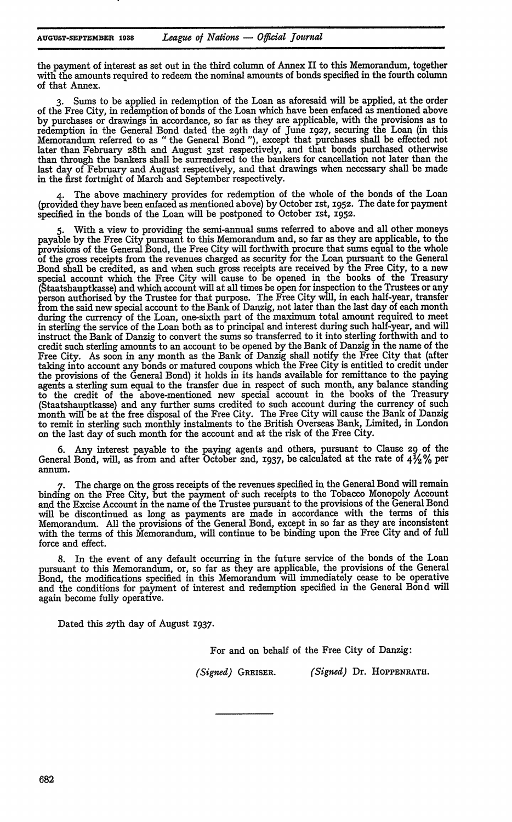!

the payment of interest as set out in the third column **of** Annex II to this Memorandum, together with the amounts required to redeem the nominal amounts of bonds specified in the fourth column of that Annex.

**3.** Sums to be applied in redemption of the Loan as aforesaid will be applied, at the order of the Free City, in redemption of bonds of the Loan which have been enfaced as mentioned above **by** purchases or drawings in accordance, so far as they are applicable, with the provisions as to redemption in the General Bond dated the 29th day of June **1927,** securing the Loan (in this Memorandum referred to as "the General Bond **"),** except that purchases shall be effected not later than February 28th and August **31st** respectively, and that bonds purchased otherwise than through the bankers shall be surrendered to the bankers for cancellation not later than the last day of February and August respectively, and that drawings when necessary shall be made in the first fortnight of March and September respectively.

The above machinery provides for redemption of the whole of the bonds of the Loan (provided they have been enfaced as mentioned above) **by** October ist, **1952.** The date for payment specified in the bonds of the Loan will be postponed to October ist, **1952.**

**5.** With a view to providing the semi-annual sums referred to above and all other moneys payable **by** the Free City pursuant to this Memorandum and, so far as they are applicable, to **the** provisions of the General Bond, the Free City will forthwith procure that sums equal to the whole of *the* gross receipts from the revenues charged as security for the Loan pursuant to the General Bond shall be credited, as and when such gross receipts are received **by** the Free City, to a new special account which the Free City will cause to be opened in the books of the Treasury (Staatshauptkasse) and which account will at all times be open for inspection to the Trustees or any person authorised **by** the Trustee for that purpose. The Free City will, in each half-year, transfer from the said new special account to the Bank of Danzig, not later than the last day of each month during the currency of the Loan, one-sixth part of the maximum total amount required to meet in sterling the service of the Loan both as to principal and interest during such half-year, and will instruct the Bank of Danzig to convert the sums so transferred to it into sterling forthwith and to credit such sterling amounts to an account to be opened **by** the Bank of Danzig in the name of the Free City. As soon in any month as the Bank of Danzig shall notify the Free City that (after taking into account any bonds or matured coupons which the Free City is entitled to credit under the provisions of the General Bond) it holds in its hands available for remittance to the paying agents a sterling sum equal to the transfer due in respect of such month, any balance standing to the credit of the above-mentioned new special account in the books of the Treasury (Staatshauptkasse) and any further sums credited to such account during the currency of such month will be at the free disposal of the Free City. The Free City will cause the Bank of Danzig to remit in sterling such monthly instalments to the British Overseas Bank, Limited, in London on the last day of such month for the account and at the risk of the Free City.

**6.** Any interest payable to the paying agents and others, pursuant to Clause 29 of the General Bond, will, as from and after October 2nd, **1937,** be calculated at the rate **of 41,4%** per annum.

**7.** The charge on the gross receipts of the revenues specified in the General Bond will remain binding on the Free City, but the payment of such receipts to the Tobacco Monopoly Account and the Excise Account in the name of the Trustee pursuant to the provisions of the General Bond will be discontinued as long as payments are made in accordance with the terms of this Memorandum. **All** the provisions of the General Bond, except in so far as they are inconsistent with the terms of this Memorandum, will continue to be binding upon the Free City and of full force and effect.

**8.** In the event of any default occurring in the future service of the bonds of the Loan pursuant to this Memorandum, or, so far as they are applicable, the provisions of the General Bond, the modifications specified in this Memorandum will immediately cease to be operative and the conditions for payment of interest and redemption specified in the General Bond will again become fully operative.

Dated this 27th day of August **1937.**

For and on behalf of the Free City of Danzig:

*(Signed)* GREISER. *(Signed)* Dr. **HOPPENRATH.**